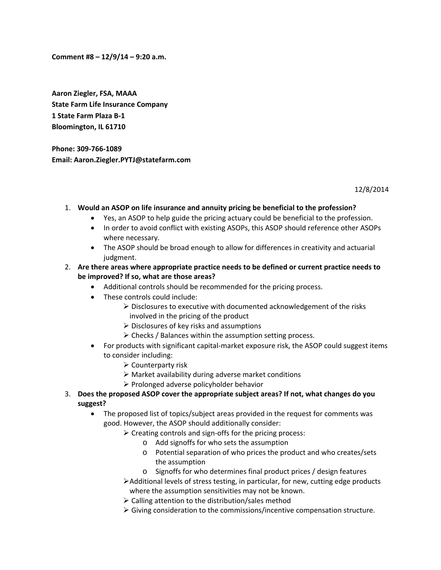**Comment #8 – 12/9/14 – 9:20 a.m.**

**Aaron Ziegler, FSA, MAAA State Farm Life Insurance Company 1 State Farm Plaza B‐1 Bloomington, IL 61710**

**Phone: 309‐766‐1089 Email: Aaron.Ziegler.PYTJ@statefarm.com**

12/8/2014

- 1. **Would an ASOP on life insurance and annuity pricing be beneficial to the profession?**
	- Yes, an ASOP to help guide the pricing actuary could be beneficial to the profession.
	- In order to avoid conflict with existing ASOPs, this ASOP should reference other ASOPs where necessary.
	- The ASOP should be broad enough to allow for differences in creativity and actuarial judgment.
- 2. **Are there areas where appropriate practice needs to be defined or current practice needs to be improved? If so, what are those areas?**
	- Additional controls should be recommended for the pricing process.
	- These controls could include:
		- $\triangleright$  Disclosures to executive with documented acknowledgement of the risks involved in the pricing of the product
		- $\triangleright$  Disclosures of key risks and assumptions
		- $\triangleright$  Checks / Balances within the assumption setting process.
	- For products with significant capital‐market exposure risk, the ASOP could suggest items to consider including:
		- $\triangleright$  Counterparty risk
		- $\triangleright$  Market availability during adverse market conditions
		- $\triangleright$  Prolonged adverse policyholder behavior
- 3. **Does the proposed ASOP cover the appropriate subject areas? If not, what changes do you suggest?**
	- The proposed list of topics/subject areas provided in the request for comments was good. However, the ASOP should additionally consider:
		- $\triangleright$  Creating controls and sign-offs for the pricing process:
			- o Add signoffs for who sets the assumption
			- o Potential separation of who prices the product and who creates/sets the assumption
			- o Signoffs for who determines final product prices / design features
		- $\blacktriangleright$  Additional levels of stress testing, in particular, for new, cutting edge products where the assumption sensitivities may not be known.
		- $\triangleright$  Calling attention to the distribution/sales method
		- $\triangleright$  Giving consideration to the commissions/incentive compensation structure.